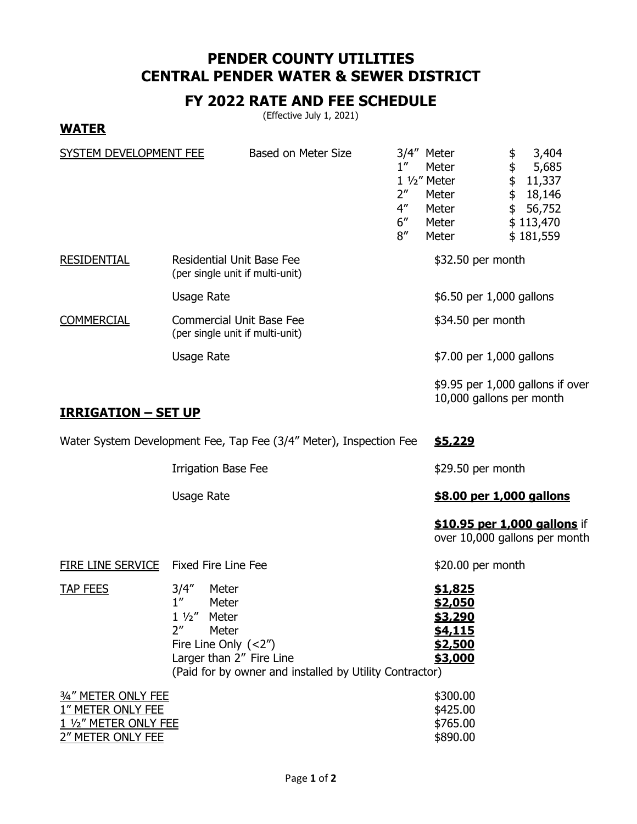## **PENDER COUNTY UTILITIES CENTRAL PENDER WATER & SEWER DISTRICT**

## **FY 2022 RATE AND FEE SCHEDULE**

(Effective July 1, 2021)

**WATER**

| SYSTEM DEVELOPMENT FEE                                                                 |                                                                                                                                              | Based on Meter Size                                     | $1^{\prime\prime}$<br>$2^{\prime\prime}$<br>$4^{\prime\prime}$<br>6''<br>8'' | 3/4" Meter<br>Meter<br>1 1/2" Meter<br>Meter<br>Meter<br>Meter<br>Meter                    | \$<br>3,404<br>\$<br>5,685<br>\$<br>11,337<br>\$<br>18,146<br>$\frac{1}{2}$<br>56,752<br>\$113,470<br>\$181,559 |
|----------------------------------------------------------------------------------------|----------------------------------------------------------------------------------------------------------------------------------------------|---------------------------------------------------------|------------------------------------------------------------------------------|--------------------------------------------------------------------------------------------|-----------------------------------------------------------------------------------------------------------------|
| <b>RESIDENTIAL</b>                                                                     | <b>Residential Unit Base Fee</b><br>(per single unit if multi-unit)                                                                          |                                                         | \$32.50 per month                                                            |                                                                                            |                                                                                                                 |
|                                                                                        | <b>Usage Rate</b>                                                                                                                            |                                                         |                                                                              | \$6.50 per 1,000 gallons                                                                   |                                                                                                                 |
| <b>COMMERCIAL</b>                                                                      | <b>Commercial Unit Base Fee</b><br>(per single unit if multi-unit)                                                                           |                                                         | \$34.50 per month                                                            |                                                                                            |                                                                                                                 |
|                                                                                        | <b>Usage Rate</b>                                                                                                                            |                                                         |                                                                              | \$7.00 per 1,000 gallons                                                                   |                                                                                                                 |
|                                                                                        |                                                                                                                                              |                                                         |                                                                              | 10,000 gallons per month                                                                   | $$9.95$ per 1,000 gallons if over                                                                               |
| <b>IRRIGATION - SET UP</b>                                                             |                                                                                                                                              |                                                         |                                                                              |                                                                                            |                                                                                                                 |
| Water System Development Fee, Tap Fee (3/4" Meter), Inspection Fee<br>\$5,229          |                                                                                                                                              |                                                         |                                                                              |                                                                                            |                                                                                                                 |
|                                                                                        | <b>Irrigation Base Fee</b>                                                                                                                   |                                                         | \$29.50 per month                                                            |                                                                                            |                                                                                                                 |
|                                                                                        | <b>Usage Rate</b>                                                                                                                            |                                                         | \$8.00 per 1,000 gallons                                                     |                                                                                            |                                                                                                                 |
|                                                                                        |                                                                                                                                              |                                                         |                                                                              |                                                                                            | \$10.95 per 1,000 gallons if<br>over 10,000 gallons per month                                                   |
| FIRE LINE SERVICE                                                                      | <b>Fixed Fire Line Fee</b>                                                                                                                   |                                                         | \$20.00 per month                                                            |                                                                                            |                                                                                                                 |
| <b>TAP FEES</b>                                                                        | 3/4''<br>Meter<br>1''<br>Meter<br>$1\frac{1}{2}$<br>Meter<br>2 <sup>''</sup><br>Meter<br>Fire Line Only $(<2'')$<br>Larger than 2" Fire Line | (Paid for by owner and installed by Utility Contractor) |                                                                              | <u>\$1,825</u><br><u>\$2,050</u><br><u>\$3,290</u><br><u>\$4,115</u><br>\$2,500<br>\$3,000 |                                                                                                                 |
| 3/4" METER ONLY FEE<br>1" METER ONLY FEE<br>1 1/2" METER ONLY FEE<br>2" METER ONLY FEE |                                                                                                                                              |                                                         |                                                                              | \$300.00<br>\$425.00<br>\$765.00<br>\$890.00                                               |                                                                                                                 |